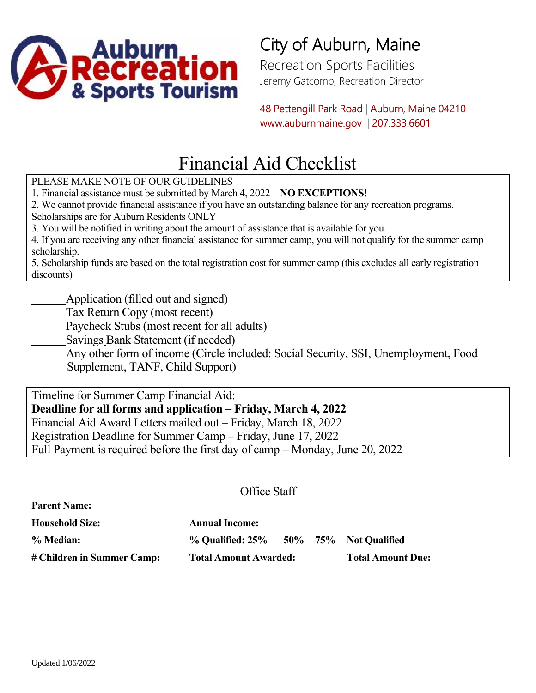

## City of Auburn, Maine

Recreation Sports Facilities Jeremy Gatcomb, Recreation Director

48 Pettengill Park Road | Auburn, Maine 04210 www.auburnmaine.gov | 207.333.6601

## Financial Aid Checklist

PLEASE MAKE NOTE OF OUR GUIDELINES

1. Financial assistance must be submitted by March 4, 2022 – **NO EXCEPTIONS!**

2. We cannot provide financial assistance if you have an outstanding balance for any recreation programs.

Scholarships are for Auburn Residents ONLY

3. You will be notified in writing about the amount of assistance that is available for you.

4. If you are receiving any other financial assistance for summer camp, you will not qualify for the summer camp scholarship.

5. Scholarship funds are based on the total registration cost for summer camp (this excludes all early registration discounts)

Application (filled out and signed)

- Tax Return Copy (most recent)
- Paycheck Stubs (most recent for all adults)
- Savings Bank Statement (if needed)
- Any other form of income (Circle included: Social Security, SSI, Unemployment, Food

Supplement, TANF, Child Support)

Timeline for Summer Camp Financial Aid: **Deadline for all forms and application – Friday, March 4, 2022** Financial Aid Award Letters mailed out – Friday, March 18, 2022 Registration Deadline for Summer Camp – Friday, June 17, 2022 Full Payment is required before the first day of camp – Monday, June 20, 2022

| Office Staff               |                                              |  |  |                          |  |  |  |  |
|----------------------------|----------------------------------------------|--|--|--------------------------|--|--|--|--|
| <b>Parent Name:</b>        |                                              |  |  |                          |  |  |  |  |
| <b>Household Size:</b>     | <b>Annual Income:</b>                        |  |  |                          |  |  |  |  |
| % Median:                  | $\%$ Qualified: $25\%$ 50% 75% Not Qualified |  |  |                          |  |  |  |  |
| # Children in Summer Camp: | <b>Total Amount Awarded:</b>                 |  |  | <b>Total Amount Due:</b> |  |  |  |  |